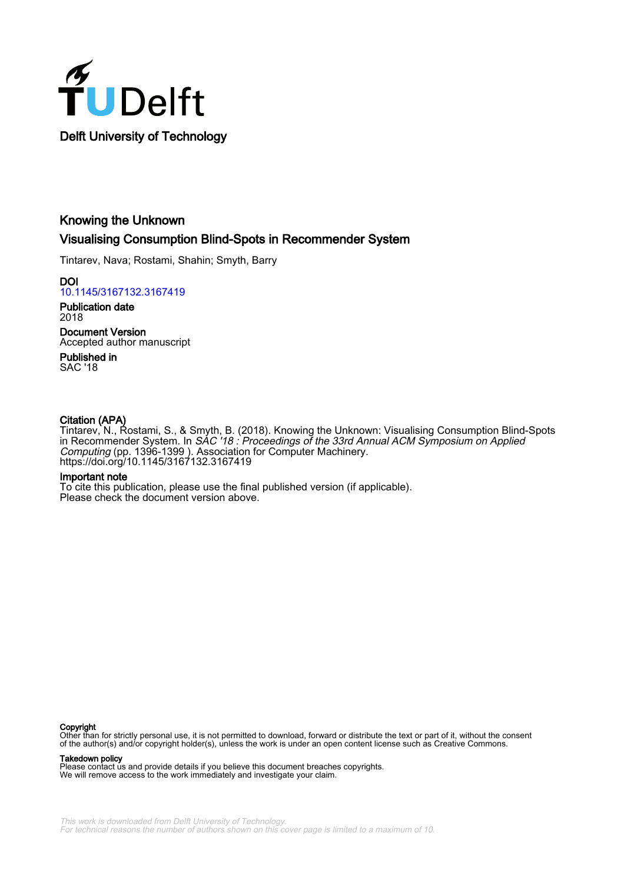

## Knowing the Unknown Visualising Consumption Blind-Spots in Recommender System

Tintarev, Nava; Rostami, Shahin; Smyth, Barry

**DOI** [10.1145/3167132.3167419](https://doi.org/10.1145/3167132.3167419)

Publication date 2018

Document Version Accepted author manuscript

Published in SAC '18

## Citation (APA)

Tintarev, N., Rostami, S., & Smyth, B. (2018). Knowing the Unknown: Visualising Consumption Blind-Spots in Recommender System. In *SAC '18 : Proceedings of the 33rd Annual ACM Symposium on Applied* Computing (pp. 1396-1399 ). Association for Computer Machinery. <https://doi.org/10.1145/3167132.3167419>

## Important note

To cite this publication, please use the final published version (if applicable). Please check the document version above.

#### Copyright

Other than for strictly personal use, it is not permitted to download, forward or distribute the text or part of it, without the consent of the author(s) and/or copyright holder(s), unless the work is under an open content license such as Creative Commons.

#### Takedown policy

Please contact us and provide details if you believe this document breaches copyrights. We will remove access to the work immediately and investigate your claim.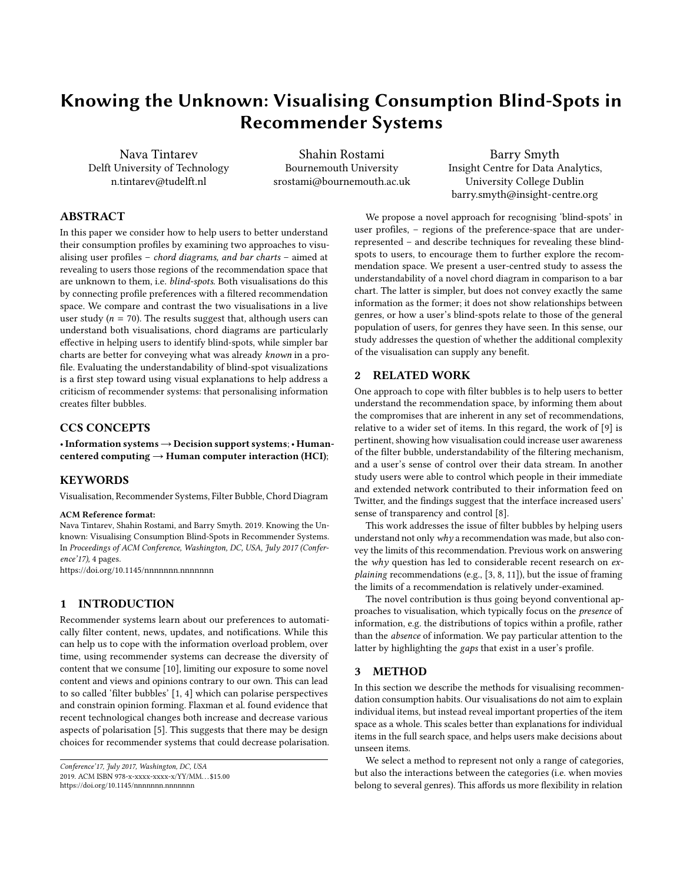# Knowing the Unknown: Visualising Consumption Blind-Spots in Recommender Systems

Nava Tintarev Delft University of Technology n.tintarev@tudelft.nl

Shahin Rostami Bournemouth University srostami@bournemouth.ac.uk

Barry Smyth Insight Centre for Data Analytics, University College Dublin barry.smyth@insight-centre.org

## ABSTRACT

In this paper we consider how to help users to better understand their consumption profiles by examining two approaches to visualising user profiles – chord diagrams, and bar charts – aimed at revealing to users those regions of the recommendation space that are unknown to them, i.e. blind-spots. Both visualisations do this by connecting profile preferences with a filtered recommendation space. We compare and contrast the two visualisations in a live user study ( $n = 70$ ). The results suggest that, although users can understand both visualisations, chord diagrams are particularly effective in helping users to identify blind-spots, while simpler bar charts are better for conveying what was already known in a profile. Evaluating the understandability of blind-spot visualizations is a first step toward using visual explanations to help address a criticism of recommender systems: that personalising information creates filter bubbles.

## CCS CONCEPTS

•Information systems→Decision support systems;• Humancentered computing  $\rightarrow$  Human computer interaction (HCI);

## **KEYWORDS**

Visualisation, Recommender Systems, Filter Bubble, Chord Diagram

#### ACM Reference format:

Nava Tintarev, Shahin Rostami, and Barry Smyth. 2019. Knowing the Unknown: Visualising Consumption Blind-Spots in Recommender Systems. In Proceedings of ACM Conference, Washington, DC, USA, July 2017 (Conference'17), [4](#page-4-0) pages.

<https://doi.org/10.1145/nnnnnnn.nnnnnnn>

## 1 INTRODUCTION

Recommender systems learn about our preferences to automatically filter content, news, updates, and notifications. While this can help us to cope with the information overload problem, over time, using recommender systems can decrease the diversity of content that we consume [\[10\]](#page-4-1), limiting our exposure to some novel content and views and opinions contrary to our own. This can lead to so called 'filter bubbles' [\[1,](#page-4-2) [4\]](#page-4-3) which can polarise perspectives and constrain opinion forming. Flaxman et al. found evidence that recent technological changes both increase and decrease various aspects of polarisation [\[5\]](#page-4-4). This suggests that there may be design choices for recommender systems that could decrease polarisation.

We propose a novel approach for recognising 'blind-spots' in user profiles, – regions of the preference-space that are underrepresented – and describe techniques for revealing these blindspots to users, to encourage them to further explore the recommendation space. We present a user-centred study to assess the understandability of a novel chord diagram in comparison to a bar chart. The latter is simpler, but does not convey exactly the same information as the former; it does not show relationships between genres, or how a user's blind-spots relate to those of the general population of users, for genres they have seen. In this sense, our study addresses the question of whether the additional complexity of the visualisation can supply any benefit.

#### 2 RELATED WORK

One approach to cope with filter bubbles is to help users to better understand the recommendation space, by informing them about the compromises that are inherent in any set of recommendations, relative to a wider set of items. In this regard, the work of [\[9\]](#page-4-5) is pertinent, showing how visualisation could increase user awareness of the filter bubble, understandability of the filtering mechanism, and a user's sense of control over their data stream. In another study users were able to control which people in their immediate and extended network contributed to their information feed on Twitter, and the findings suggest that the interface increased users' sense of transparency and control [\[8\]](#page-4-6).

This work addresses the issue of filter bubbles by helping users understand not only  $why$  a recommendation was made, but also convey the limits of this recommendation. Previous work on answering the why question has led to considerable recent research on explaining recommendations (e.g., [\[3,](#page-4-7) [8,](#page-4-6) [11\]](#page-4-8)), but the issue of framing the limits of a recommendation is relatively under-examined.

The novel contribution is thus going beyond conventional approaches to visualisation, which typically focus on the *presence* of information, e.g. the distributions of topics within a profile, rather than the absence of information. We pay particular attention to the latter by highlighting the gaps that exist in a user's profile.

#### 3 METHOD

In this section we describe the methods for visualising recommendation consumption habits. Our visualisations do not aim to explain individual items, but instead reveal important properties of the item space as a whole. This scales better than explanations for individual items in the full search space, and helps users make decisions about unseen items.

We select a method to represent not only a range of categories, but also the interactions between the categories (i.e. when movies belong to several genres). This affords us more flexibility in relation

Conference'17, July 2017, Washington, DC, USA 2019. ACM ISBN 978-x-xxxx-xxxx-x/YY/MM. . . \$15.00 <https://doi.org/10.1145/nnnnnnn.nnnnnnn>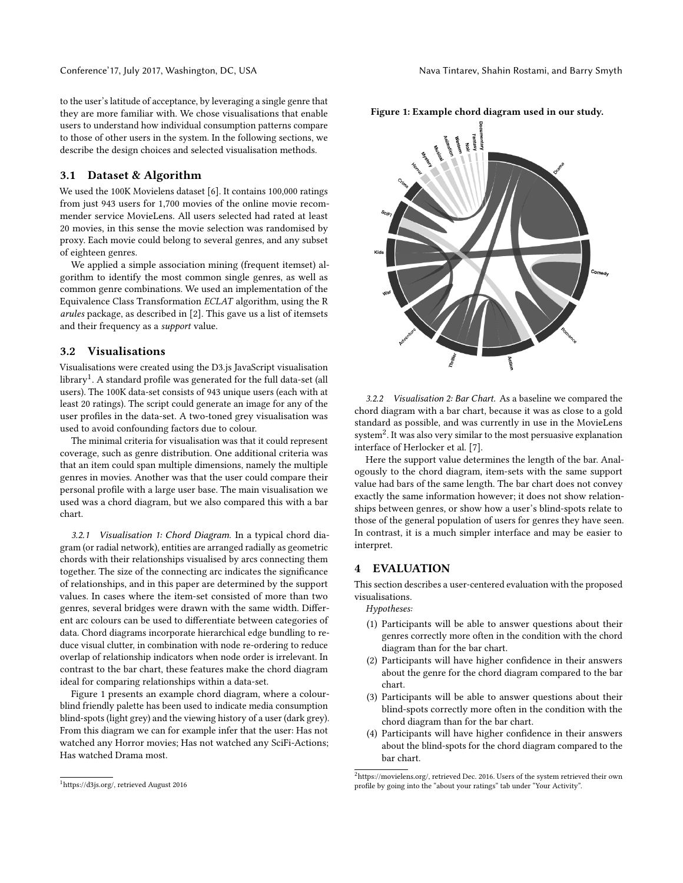to the user's latitude of acceptance, by leveraging a single genre that they are more familiar with. We chose visualisations that enable users to understand how individual consumption patterns compare to those of other users in the system. In the following sections, we describe the design choices and selected visualisation methods.

#### 3.1 Dataset & Algorithm

We used the 100K Movielens dataset [\[6\]](#page-4-9). It contains 100,000 ratings from just 943 users for 1,700 movies of the online movie recommender service MovieLens. All users selected had rated at least 20 movies, in this sense the movie selection was randomised by proxy. Each movie could belong to several genres, and any subset of eighteen genres.

We applied a simple association mining (frequent itemset) algorithm to identify the most common single genres, as well as common genre combinations. We used an implementation of the Equivalence Class Transformation ECLAT algorithm, using the R arules package, as described in [\[2\]](#page-4-10). This gave us a list of itemsets and their frequency as a support value.

## 3.2 Visualisations

Visualisations were created using the D3.js JavaScript visualisation library $^1$  $^1$ . A standard profile was generated for the full data-set (all users). The 100K data-set consists of 943 unique users (each with at least 20 ratings). The script could generate an image for any of the user profiles in the data-set. A two-toned grey visualisation was used to avoid confounding factors due to colour.

The minimal criteria for visualisation was that it could represent coverage, such as genre distribution. One additional criteria was that an item could span multiple dimensions, namely the multiple genres in movies. Another was that the user could compare their personal profile with a large user base. The main visualisation we used was a chord diagram, but we also compared this with a bar chart.

3.2.1 Visualisation 1: Chord Diagram. In a typical chord diagram (or radial network), entities are arranged radially as geometric chords with their relationships visualised by arcs connecting them together. The size of the connecting arc indicates the significance of relationships, and in this paper are determined by the support values. In cases where the item-set consisted of more than two genres, several bridges were drawn with the same width. Different arc colours can be used to differentiate between categories of data. Chord diagrams incorporate hierarchical edge bundling to reduce visual clutter, in combination with node re-ordering to reduce overlap of relationship indicators when node order is irrelevant. In contrast to the bar chart, these features make the chord diagram ideal for comparing relationships within a data-set.

Figure [1](#page-2-1) presents an example chord diagram, where a colourblind friendly palette has been used to indicate media consumption blind-spots (light grey) and the viewing history of a user (dark grey). From this diagram we can for example infer that the user: Has not watched any Horror movies; Has not watched any SciFi-Actions; Has watched Drama most.

3.2.2 Visualisation 2: Bar Chart. As a baseline we compared the chord diagram with a bar chart, because it was as close to a gold standard as possible, and was currently in use in the MovieLens system[2](#page-2-2) . It was also very similar to the most persuasive explanation interface of Herlocker et al. [\[7\]](#page-4-11).

Here the support value determines the length of the bar. Analogously to the chord diagram, item-sets with the same support value had bars of the same length. The bar chart does not convey exactly the same information however; it does not show relationships between genres, or show how a user's blind-spots relate to those of the general population of users for genres they have seen. In contrast, it is a much simpler interface and may be easier to interpret.

### **EVALUATION**

This section describes a user-centered evaluation with the proposed visualisations.

Hypotheses:

- (1) Participants will be able to answer questions about their genres correctly more often in the condition with the chord diagram than for the bar chart.
- (2) Participants will have higher confidence in their answers about the genre for the chord diagram compared to the bar chart.
- (3) Participants will be able to answer questions about their blind-spots correctly more often in the condition with the chord diagram than for the bar chart.
- (4) Participants will have higher confidence in their answers about the blind-spots for the chord diagram compared to the bar chart.



<span id="page-2-1"></span>Figure 1: Example chord diagram used in our study.

<span id="page-2-0"></span> $^1\rm{https://d3js.org/},$  retrieved August 2016

<span id="page-2-2"></span> $^2$ [https://movielens.org/,](https://movielens.org/) retrieved Dec. 2016. Users of the system retrieved their own profile by going into the "about your ratings" tab under "Your Activity".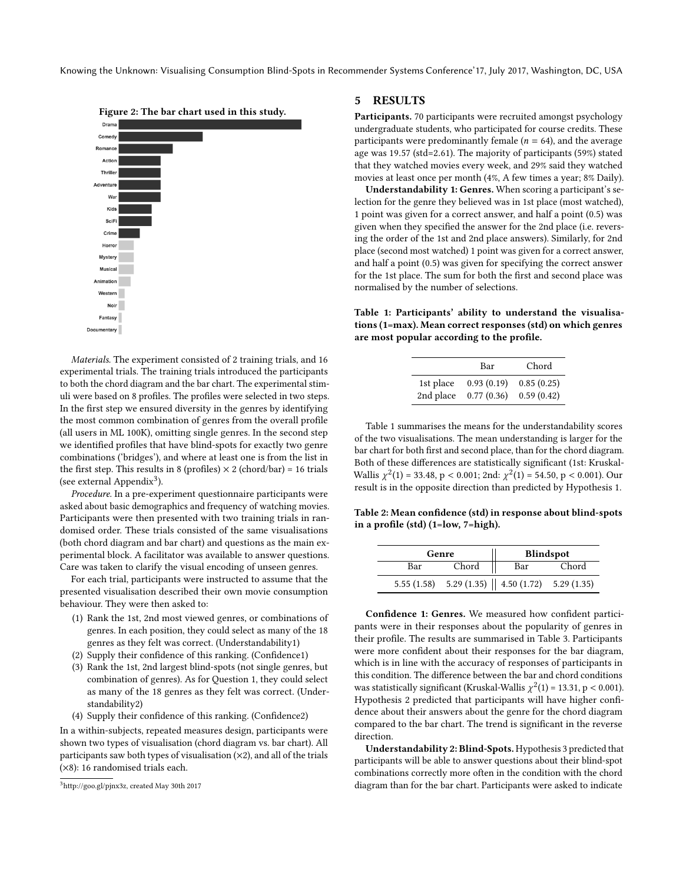Knowing the Unknown: Visualising Consumption Blind-Spots in Recommender Systems Conference'17, July 2017, Washington, DC, USA



Materials. The experiment consisted of 2 training trials, and 16 experimental trials. The training trials introduced the participants to both the chord diagram and the bar chart. The experimental stimuli were based on 8 profiles. The profiles were selected in two steps. In the first step we ensured diversity in the genres by identifying the most common combination of genres from the overall profile (all users in ML 100K), omitting single genres. In the second step we identified profiles that have blind-spots for exactly two genre combinations ('bridges'), and where at least one is from the list in the first step. This results in 8 (profiles)  $\times$  2 (chord/bar) = 16 trials (see external Appendix<sup>[3](#page-3-0)</sup>).

Procedure. In a pre-experiment questionnaire participants were asked about basic demographics and frequency of watching movies. Participants were then presented with two training trials in randomised order. These trials consisted of the same visualisations (both chord diagram and bar chart) and questions as the main experimental block. A facilitator was available to answer questions. Care was taken to clarify the visual encoding of unseen genres.

For each trial, participants were instructed to assume that the presented visualisation described their own movie consumption behaviour. They were then asked to:

- (1) Rank the 1st, 2nd most viewed genres, or combinations of genres. In each position, they could select as many of the 18 genres as they felt was correct. (Understandability1)
- (2) Supply their confidence of this ranking. (Confidence1)
- (3) Rank the 1st, 2nd largest blind-spots (not single genres, but combination of genres). As for Question 1, they could select as many of the 18 genres as they felt was correct. (Understandability2)
- (4) Supply their confidence of this ranking. (Confidence2)

In a within-subjects, repeated measures design, participants were shown two types of visualisation (chord diagram vs. bar chart). All participants saw both types of visualisation  $(x2)$ , and all of the trials (×8): 16 randomised trials each.

#### 5 RESULTS

Participants. 70 participants were recruited amongst psychology undergraduate students, who participated for course credits. These participants were predominantly female ( $n = 64$ ), and the average age was <sup>19</sup>.<sup>57</sup> (std=2.61). The majority of participants (59%) stated that they watched movies every week, and 29% said they watched movies at least once per month (4%, A few times a year; 8% Daily).

Understandability 1: Genres. When scoring a participant's selection for the genre they believed was in 1st place (most watched), 1 point was given for a correct answer, and half a point (0.5) was given when they specified the answer for the 2nd place (i.e. reversing the order of the 1st and 2nd place answers). Similarly, for 2nd place (second most watched) 1 point was given for a correct answer, and half a point (0.5) was given for specifying the correct answer for the 1st place. The sum for both the first and second place was normalised by the number of selections.

<span id="page-3-1"></span>Table 1: Participants' ability to understand the visualisations (1=max). Mean correct responses (std) on which genres are most popular according to the profile.

|           | Bar        | Chord      |
|-----------|------------|------------|
| 1st place | 0.93(0.19) | 0.85(0.25) |
| 2nd place | 0.77(0.36) | 0.59(0.42) |

Table [1](#page-3-1) summarises the means for the understandability scores of the two visualisations. The mean understanding is larger for the bar chart for both first and second place, than for the chord diagram. Both of these differences are statistically significant (1st: Kruskal-Wallis  $\chi^2(1) = 33.48$ , p < 0.001; 2nd:  $\chi^2(1) = 54.50$ , p < 0.001). Our result is in the opposite direction than predicted by Hypothesis 1. result is in the opposite direction than predicted by Hypothesis 1.

Table 2: Mean confidence (std) in response about blind-spots in a profile (std) (1=low, 7=high).

|     | Genre |                                                             | Blindspot |
|-----|-------|-------------------------------------------------------------|-----------|
| Bar | Chord | Bar                                                         | Chord     |
|     |       | 5.55 (1.58) 5.29 (1.35) $\parallel$ 4.50 (1.72) 5.29 (1.35) |           |

Confidence 1: Genres. We measured how confident participants were in their responses about the popularity of genres in their profile. The results are summarised in Table [3.](#page-4-12) Participants were more confident about their responses for the bar diagram, which is in line with the accuracy of responses of participants in this condition. The difference between the bar and chord conditions was statistically significant (Kruskal-Wallis  $\chi^2(1) = 13.31$ , p < 0.001).<br>Hypothesis 2 predicted that participants will have higher confi-Hypothesis 2 predicted that participants will have higher confidence about their answers about the genre for the chord diagram compared to the bar chart. The trend is significant in the reverse direction.

Understandability 2: Blind-Spots. Hypothesis 3 predicted that participants will be able to answer questions about their blind-spot combinations correctly more often in the condition with the chord diagram than for the bar chart. Participants were asked to indicate

<span id="page-3-0"></span><sup>3</sup>[http://goo.gl/pjnx3z,](http://goo.gl/pjnx3z) created May 30th 2017